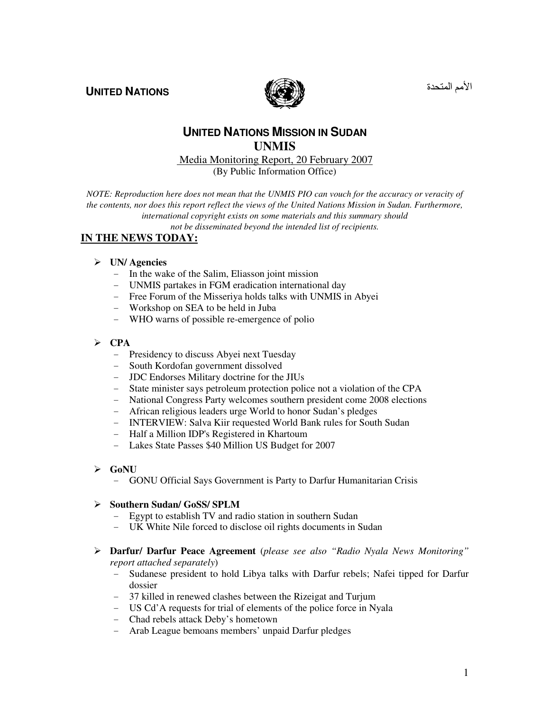**UNITED NATIONS** 



الأمم المتحدة

# **UNITED NATIONS MISSION IN SUDAN UNMIS**

Media Monitoring Report, 20 February 2007

(By Public Information Office)

*NOTE: Reproduction here does not mean that the UNMIS PIO can vouch for the accuracy or veracity of the contents, nor does this report reflect the views of the United Nations Mission in Sudan. Furthermore, international copyright exists on some materials and this summary should not be disseminated beyond the intended list of recipients.* 

# **IN THE NEWS TODAY:**

#### **UN/ Agencies**

- In the wake of the Salim, Eliasson joint mission
- UNMIS partakes in FGM eradication international day
- Free Forum of the Misseriya holds talks with UNMIS in Abyei
- Workshop on SEA to be held in Juba
- WHO warns of possible re-emergence of polio
- **CPA** 
	- Presidency to discuss Abyei next Tuesday
	- South Kordofan government dissolved
	- JDC Endorses Military doctrine for the JIUs
	- State minister says petroleum protection police not a violation of the CPA
	- National Congress Party welcomes southern president come 2008 elections
	- African religious leaders urge World to honor Sudan's pledges
	- INTERVIEW: Salva Kiir requested World Bank rules for South Sudan
	- Half a Million IDP's Registered in Khartoum
	- Lakes State Passes \$40 Million US Budget for 2007
- **GoNU** 
	- GONU Official Says Government is Party to Darfur Humanitarian Crisis

#### **Southern Sudan/ GoSS/ SPLM**

- Egypt to establish TV and radio station in southern Sudan
- UK White Nile forced to disclose oil rights documents in Sudan
- **Darfur/ Darfur Peace Agreement** (*please see also "Radio Nyala News Monitoring" report attached separately*)
	- Sudanese president to hold Libya talks with Darfur rebels; Nafei tipped for Darfur dossier
	- 37 killed in renewed clashes between the Rizeigat and Turjum
	- US Cd'A requests for trial of elements of the police force in Nyala
	- Chad rebels attack Deby's hometown
	- Arab League bemoans members' unpaid Darfur pledges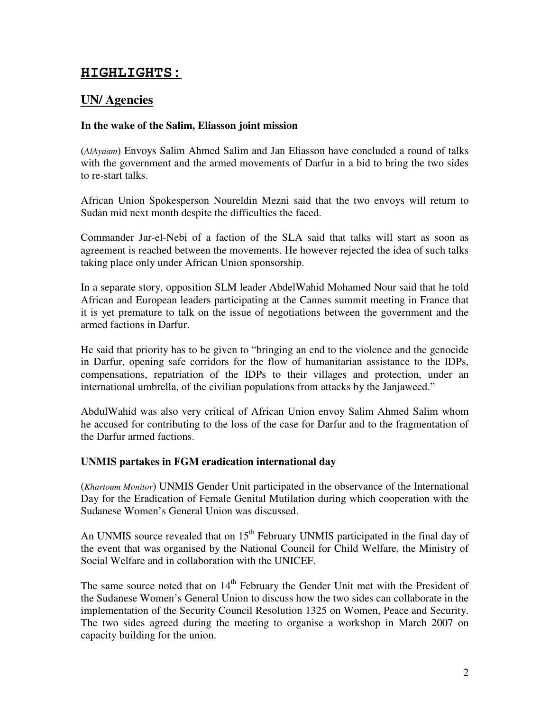# **HIGHLIGHTS:**

# **UN/ Agencies**

# **In the wake of the Salim, Eliasson joint mission**

(*AlAyaam*) Envoys Salim Ahmed Salim and Jan Eliasson have concluded a round of talks with the government and the armed movements of Darfur in a bid to bring the two sides to re-start talks.

African Union Spokesperson Noureldin Mezni said that the two envoys will return to Sudan mid next month despite the difficulties the faced.

Commander Jar-el-Nebi of a faction of the SLA said that talks will start as soon as agreement is reached between the movements. He however rejected the idea of such talks taking place only under African Union sponsorship.

In a separate story, opposition SLM leader AbdelWahid Mohamed Nour said that he told African and European leaders participating at the Cannes summit meeting in France that it is yet premature to talk on the issue of negotiations between the government and the armed factions in Darfur.

He said that priority has to be given to "bringing an end to the violence and the genocide in Darfur, opening safe corridors for the flow of humanitarian assistance to the IDPs, compensations, repatriation of the IDPs to their villages and protection, under an international umbrella, of the civilian populations from attacks by the Janjaweed."

AbdulWahid was also very critical of African Union envoy Salim Ahmed Salim whom he accused for contributing to the loss of the case for Darfur and to the fragmentation of the Darfur armed factions.

# **UNMIS partakes in FGM eradication international day**

(*Khartoum Monitor*) UNMIS Gender Unit participated in the observance of the International Day for the Eradication of Female Genital Mutilation during which cooperation with the Sudanese Women's General Union was discussed.

An UNMIS source revealed that on  $15<sup>th</sup>$  February UNMIS participated in the final day of the event that was organised by the National Council for Child Welfare, the Ministry of Social Welfare and in collaboration with the UNICEF.

The same source noted that on 14<sup>th</sup> February the Gender Unit met with the President of the Sudanese Women's General Union to discuss how the two sides can collaborate in the implementation of the Security Council Resolution 1325 on Women, Peace and Security. The two sides agreed during the meeting to organise a workshop in March 2007 on capacity building for the union.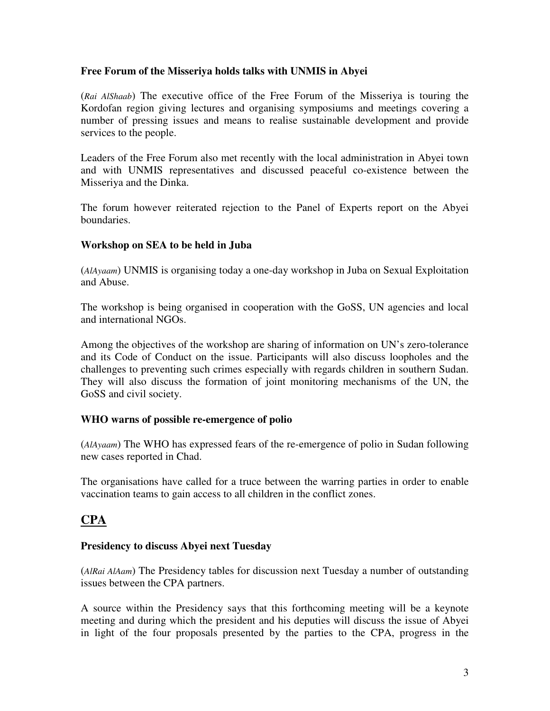#### **Free Forum of the Misseriya holds talks with UNMIS in Abyei**

(*Rai AlShaab*) The executive office of the Free Forum of the Misseriya is touring the Kordofan region giving lectures and organising symposiums and meetings covering a number of pressing issues and means to realise sustainable development and provide services to the people.

Leaders of the Free Forum also met recently with the local administration in Abyei town and with UNMIS representatives and discussed peaceful co-existence between the Misseriya and the Dinka.

The forum however reiterated rejection to the Panel of Experts report on the Abyei boundaries.

#### **Workshop on SEA to be held in Juba**

(*AlAyaam*) UNMIS is organising today a one-day workshop in Juba on Sexual Exploitation and Abuse.

The workshop is being organised in cooperation with the GoSS, UN agencies and local and international NGOs.

Among the objectives of the workshop are sharing of information on UN's zero-tolerance and its Code of Conduct on the issue. Participants will also discuss loopholes and the challenges to preventing such crimes especially with regards children in southern Sudan. They will also discuss the formation of joint monitoring mechanisms of the UN, the GoSS and civil society.

#### **WHO warns of possible re-emergence of polio**

(*AlAyaam*) The WHO has expressed fears of the re-emergence of polio in Sudan following new cases reported in Chad.

The organisations have called for a truce between the warring parties in order to enable vaccination teams to gain access to all children in the conflict zones.

# **CPA**

#### **Presidency to discuss Abyei next Tuesday**

(*AlRai AlAam*) The Presidency tables for discussion next Tuesday a number of outstanding issues between the CPA partners.

A source within the Presidency says that this forthcoming meeting will be a keynote meeting and during which the president and his deputies will discuss the issue of Abyei in light of the four proposals presented by the parties to the CPA, progress in the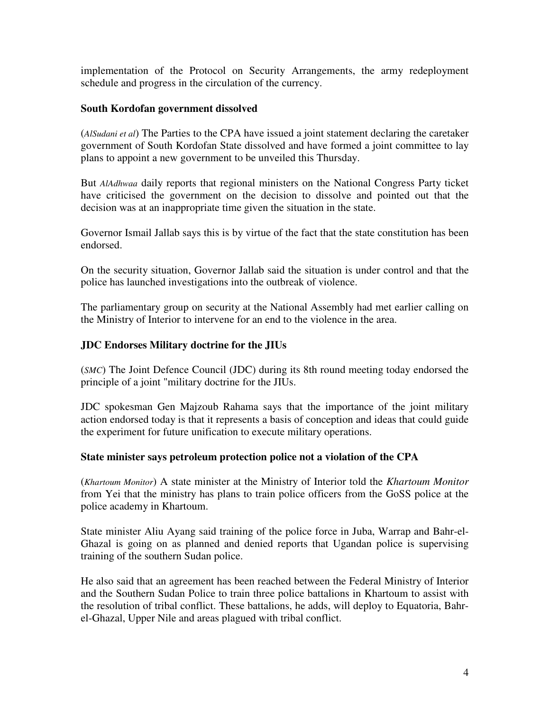implementation of the Protocol on Security Arrangements, the army redeployment schedule and progress in the circulation of the currency.

#### **South Kordofan government dissolved**

(*AlSudani et al*) The Parties to the CPA have issued a joint statement declaring the caretaker government of South Kordofan State dissolved and have formed a joint committee to lay plans to appoint a new government to be unveiled this Thursday.

But *AlAdhwaa* daily reports that regional ministers on the National Congress Party ticket have criticised the government on the decision to dissolve and pointed out that the decision was at an inappropriate time given the situation in the state.

Governor Ismail Jallab says this is by virtue of the fact that the state constitution has been endorsed.

On the security situation, Governor Jallab said the situation is under control and that the police has launched investigations into the outbreak of violence.

The parliamentary group on security at the National Assembly had met earlier calling on the Ministry of Interior to intervene for an end to the violence in the area.

# **JDC Endorses Military doctrine for the JIUs**

(*SMC*) The Joint Defence Council (JDC) during its 8th round meeting today endorsed the principle of a joint "military doctrine for the JIUs.

JDC spokesman Gen Majzoub Rahama says that the importance of the joint military action endorsed today is that it represents a basis of conception and ideas that could guide the experiment for future unification to execute military operations.

#### **State minister says petroleum protection police not a violation of the CPA**

(*Khartoum Monitor*) A state minister at the Ministry of Interior told the *Khartoum Monitor* from Yei that the ministry has plans to train police officers from the GoSS police at the police academy in Khartoum.

State minister Aliu Ayang said training of the police force in Juba, Warrap and Bahr-el-Ghazal is going on as planned and denied reports that Ugandan police is supervising training of the southern Sudan police.

He also said that an agreement has been reached between the Federal Ministry of Interior and the Southern Sudan Police to train three police battalions in Khartoum to assist with the resolution of tribal conflict. These battalions, he adds, will deploy to Equatoria, Bahrel-Ghazal, Upper Nile and areas plagued with tribal conflict.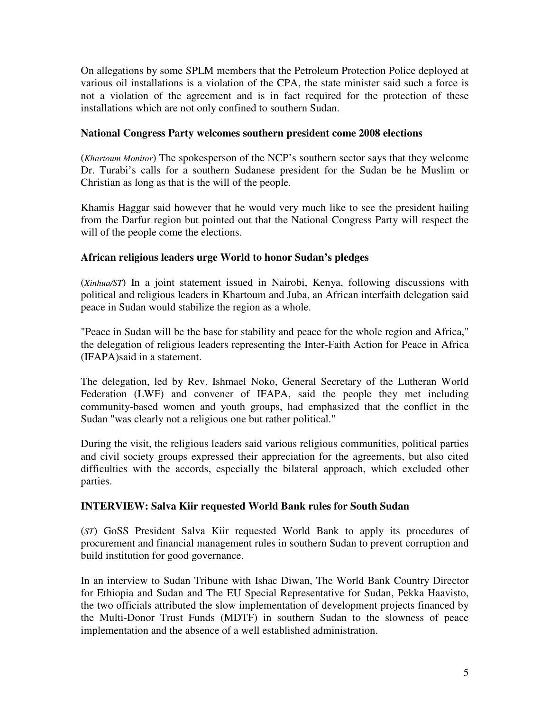On allegations by some SPLM members that the Petroleum Protection Police deployed at various oil installations is a violation of the CPA, the state minister said such a force is not a violation of the agreement and is in fact required for the protection of these installations which are not only confined to southern Sudan.

### **National Congress Party welcomes southern president come 2008 elections**

(*Khartoum Monitor*) The spokesperson of the NCP's southern sector says that they welcome Dr. Turabi's calls for a southern Sudanese president for the Sudan be he Muslim or Christian as long as that is the will of the people.

Khamis Haggar said however that he would very much like to see the president hailing from the Darfur region but pointed out that the National Congress Party will respect the will of the people come the elections.

#### **African religious leaders urge World to honor Sudan's pledges**

(*Xinhua/ST*) In a joint statement issued in Nairobi, Kenya, following discussions with political and religious leaders in Khartoum and Juba, an African interfaith delegation said peace in Sudan would stabilize the region as a whole.

"Peace in Sudan will be the base for stability and peace for the whole region and Africa," the delegation of religious leaders representing the Inter-Faith Action for Peace in Africa (IFAPA)said in a statement.

The delegation, led by Rev. Ishmael Noko, General Secretary of the Lutheran World Federation (LWF) and convener of IFAPA, said the people they met including community-based women and youth groups, had emphasized that the conflict in the Sudan "was clearly not a religious one but rather political."

During the visit, the religious leaders said various religious communities, political parties and civil society groups expressed their appreciation for the agreements, but also cited difficulties with the accords, especially the bilateral approach, which excluded other parties.

#### **INTERVIEW: Salva Kiir requested World Bank rules for South Sudan**

(*ST*) GoSS President Salva Kiir requested World Bank to apply its procedures of procurement and financial management rules in southern Sudan to prevent corruption and build institution for good governance.

In an interview to Sudan Tribune with Ishac Diwan, The World Bank Country Director for Ethiopia and Sudan and The EU Special Representative for Sudan, Pekka Haavisto, the two officials attributed the slow implementation of development projects financed by the Multi-Donor Trust Funds (MDTF) in southern Sudan to the slowness of peace implementation and the absence of a well established administration.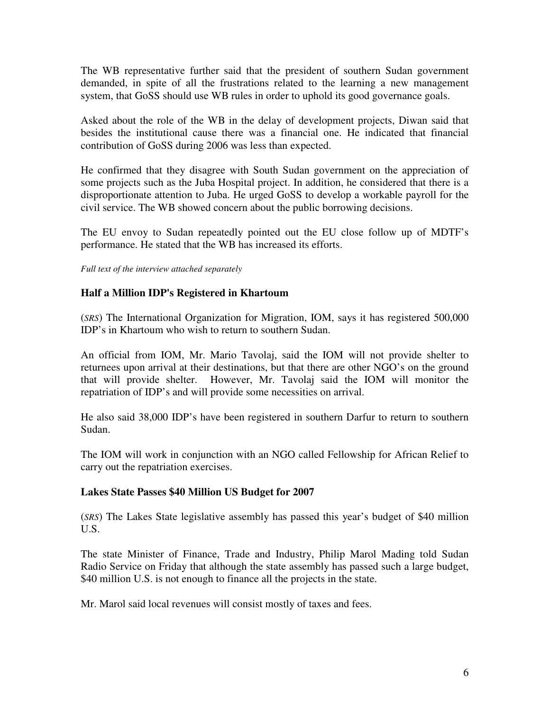The WB representative further said that the president of southern Sudan government demanded, in spite of all the frustrations related to the learning a new management system, that GoSS should use WB rules in order to uphold its good governance goals.

Asked about the role of the WB in the delay of development projects, Diwan said that besides the institutional cause there was a financial one. He indicated that financial contribution of GoSS during 2006 was less than expected.

He confirmed that they disagree with South Sudan government on the appreciation of some projects such as the Juba Hospital project. In addition, he considered that there is a disproportionate attention to Juba. He urged GoSS to develop a workable payroll for the civil service. The WB showed concern about the public borrowing decisions.

The EU envoy to Sudan repeatedly pointed out the EU close follow up of MDTF's performance. He stated that the WB has increased its efforts.

*Full text of the interview attached separately* 

#### **Half a Million IDP's Registered in Khartoum**

(*SRS*) The International Organization for Migration, IOM, says it has registered 500,000 IDP's in Khartoum who wish to return to southern Sudan.

An official from IOM, Mr. Mario Tavolaj, said the IOM will not provide shelter to returnees upon arrival at their destinations, but that there are other NGO's on the ground that will provide shelter. However, Mr. Tavolaj said the IOM will monitor the repatriation of IDP's and will provide some necessities on arrival.

He also said 38,000 IDP's have been registered in southern Darfur to return to southern Sudan.

The IOM will work in conjunction with an NGO called Fellowship for African Relief to carry out the repatriation exercises.

# **Lakes State Passes \$40 Million US Budget for 2007**

(*SRS*) The Lakes State legislative assembly has passed this year's budget of \$40 million U.S.

The state Minister of Finance, Trade and Industry, Philip Marol Mading told Sudan Radio Service on Friday that although the state assembly has passed such a large budget, \$40 million U.S. is not enough to finance all the projects in the state.

Mr. Marol said local revenues will consist mostly of taxes and fees.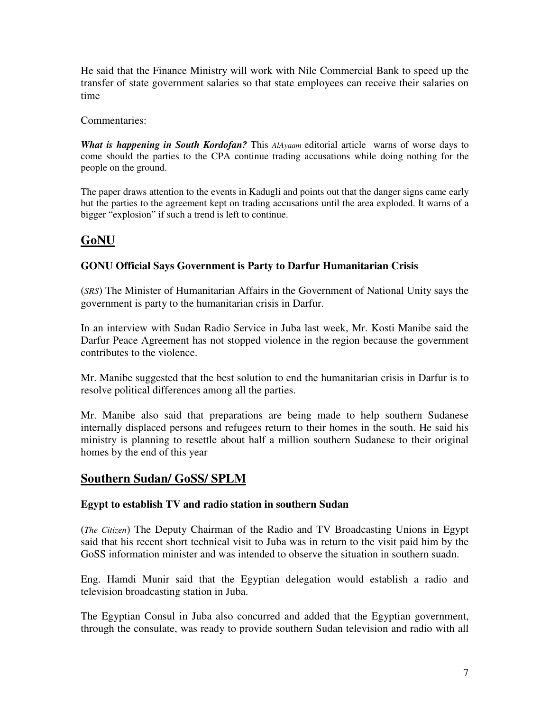He said that the Finance Ministry will work with Nile Commercial Bank to speed up the transfer of state government salaries so that state employees can receive their salaries on time

Commentaries:

*What is happening in South Kordofan?* This *AlAyaam* editorial article warns of worse days to come should the parties to the CPA continue trading accusations while doing nothing for the people on the ground.

The paper draws attention to the events in Kadugli and points out that the danger signs came early but the parties to the agreement kept on trading accusations until the area exploded. It warns of a bigger "explosion" if such a trend is left to continue.

# **GoNU**

# **GONU Official Says Government is Party to Darfur Humanitarian Crisis**

(*SRS*) The Minister of Humanitarian Affairs in the Government of National Unity says the government is party to the humanitarian crisis in Darfur.

In an interview with Sudan Radio Service in Juba last week, Mr. Kosti Manibe said the Darfur Peace Agreement has not stopped violence in the region because the government contributes to the violence.

Mr. Manibe suggested that the best solution to end the humanitarian crisis in Darfur is to resolve political differences among all the parties.

Mr. Manibe also said that preparations are being made to help southern Sudanese internally displaced persons and refugees return to their homes in the south. He said his ministry is planning to resettle about half a million southern Sudanese to their original homes by the end of this year

# **Southern Sudan/ GoSS/ SPLM**

# **Egypt to establish TV and radio station in southern Sudan**

(*The Citizen*) The Deputy Chairman of the Radio and TV Broadcasting Unions in Egypt said that his recent short technical visit to Juba was in return to the visit paid him by the GoSS information minister and was intended to observe the situation in southern suadn.

Eng. Hamdi Munir said that the Egyptian delegation would establish a radio and television broadcasting station in Juba.

The Egyptian Consul in Juba also concurred and added that the Egyptian government, through the consulate, was ready to provide southern Sudan television and radio with all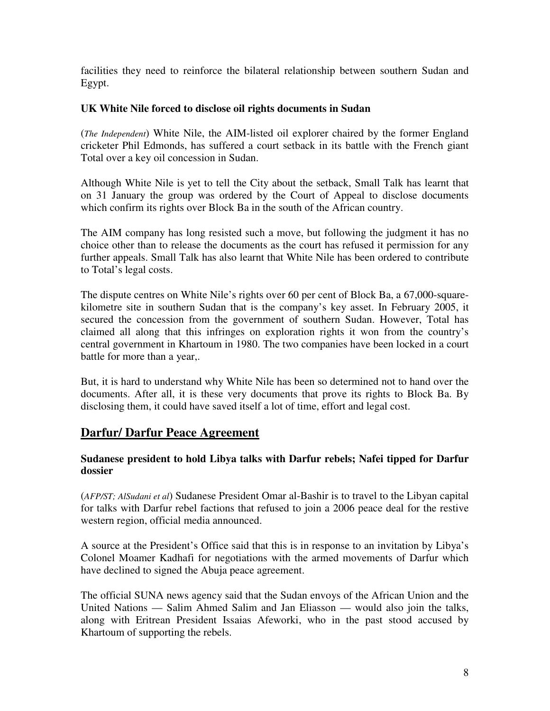facilities they need to reinforce the bilateral relationship between southern Sudan and Egypt.

#### **UK White Nile forced to disclose oil rights documents in Sudan**

(*The Independent*) White Nile, the AIM-listed oil explorer chaired by the former England cricketer Phil Edmonds, has suffered a court setback in its battle with the French giant Total over a key oil concession in Sudan.

Although White Nile is yet to tell the City about the setback, Small Talk has learnt that on 31 January the group was ordered by the Court of Appeal to disclose documents which confirm its rights over Block Ba in the south of the African country.

The AIM company has long resisted such a move, but following the judgment it has no choice other than to release the documents as the court has refused it permission for any further appeals. Small Talk has also learnt that White Nile has been ordered to contribute to Total's legal costs.

The dispute centres on White Nile's rights over 60 per cent of Block Ba, a 67,000-squarekilometre site in southern Sudan that is the company's key asset. In February 2005, it secured the concession from the government of southern Sudan. However, Total has claimed all along that this infringes on exploration rights it won from the country's central government in Khartoum in 1980. The two companies have been locked in a court battle for more than a year,.

But, it is hard to understand why White Nile has been so determined not to hand over the documents. After all, it is these very documents that prove its rights to Block Ba. By disclosing them, it could have saved itself a lot of time, effort and legal cost.

# **Darfur/ Darfur Peace Agreement**

# **Sudanese president to hold Libya talks with Darfur rebels; Nafei tipped for Darfur dossier**

(*AFP/ST; AlSudani et al*) Sudanese President Omar al-Bashir is to travel to the Libyan capital for talks with Darfur rebel factions that refused to join a 2006 peace deal for the restive western region, official media announced.

A source at the President's Office said that this is in response to an invitation by Libya's Colonel Moamer Kadhafi for negotiations with the armed movements of Darfur which have declined to signed the Abuja peace agreement.

The official SUNA news agency said that the Sudan envoys of the African Union and the United Nations — Salim Ahmed Salim and Jan Eliasson — would also join the talks, along with Eritrean President Issaias Afeworki, who in the past stood accused by Khartoum of supporting the rebels.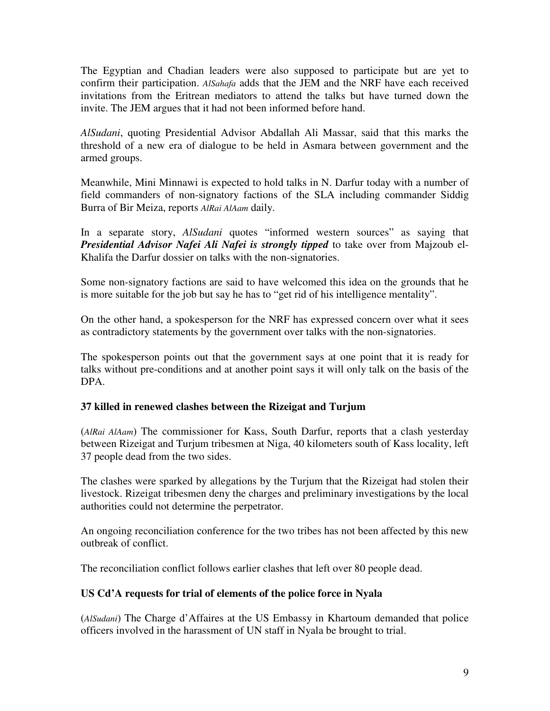The Egyptian and Chadian leaders were also supposed to participate but are yet to confirm their participation. *AlSahafa* adds that the JEM and the NRF have each received invitations from the Eritrean mediators to attend the talks but have turned down the invite. The JEM argues that it had not been informed before hand.

*AlSudani*, quoting Presidential Advisor Abdallah Ali Massar, said that this marks the threshold of a new era of dialogue to be held in Asmara between government and the armed groups.

Meanwhile, Mini Minnawi is expected to hold talks in N. Darfur today with a number of field commanders of non-signatory factions of the SLA including commander Siddig Burra of Bir Meiza, reports *AlRai AlAam* daily.

In a separate story, *AlSudani* quotes "informed western sources" as saying that *Presidential Advisor Nafei Ali Nafei is strongly tipped* to take over from Majzoub el-Khalifa the Darfur dossier on talks with the non-signatories.

Some non-signatory factions are said to have welcomed this idea on the grounds that he is more suitable for the job but say he has to "get rid of his intelligence mentality".

On the other hand, a spokesperson for the NRF has expressed concern over what it sees as contradictory statements by the government over talks with the non-signatories.

The spokesperson points out that the government says at one point that it is ready for talks without pre-conditions and at another point says it will only talk on the basis of the DPA.

# **37 killed in renewed clashes between the Rizeigat and Turjum**

(*AlRai AlAam*) The commissioner for Kass, South Darfur, reports that a clash yesterday between Rizeigat and Turjum tribesmen at Niga, 40 kilometers south of Kass locality, left 37 people dead from the two sides.

The clashes were sparked by allegations by the Turjum that the Rizeigat had stolen their livestock. Rizeigat tribesmen deny the charges and preliminary investigations by the local authorities could not determine the perpetrator.

An ongoing reconciliation conference for the two tribes has not been affected by this new outbreak of conflict.

The reconciliation conflict follows earlier clashes that left over 80 people dead.

# **US Cd'A requests for trial of elements of the police force in Nyala**

(*AlSudani*) The Charge d'Affaires at the US Embassy in Khartoum demanded that police officers involved in the harassment of UN staff in Nyala be brought to trial.